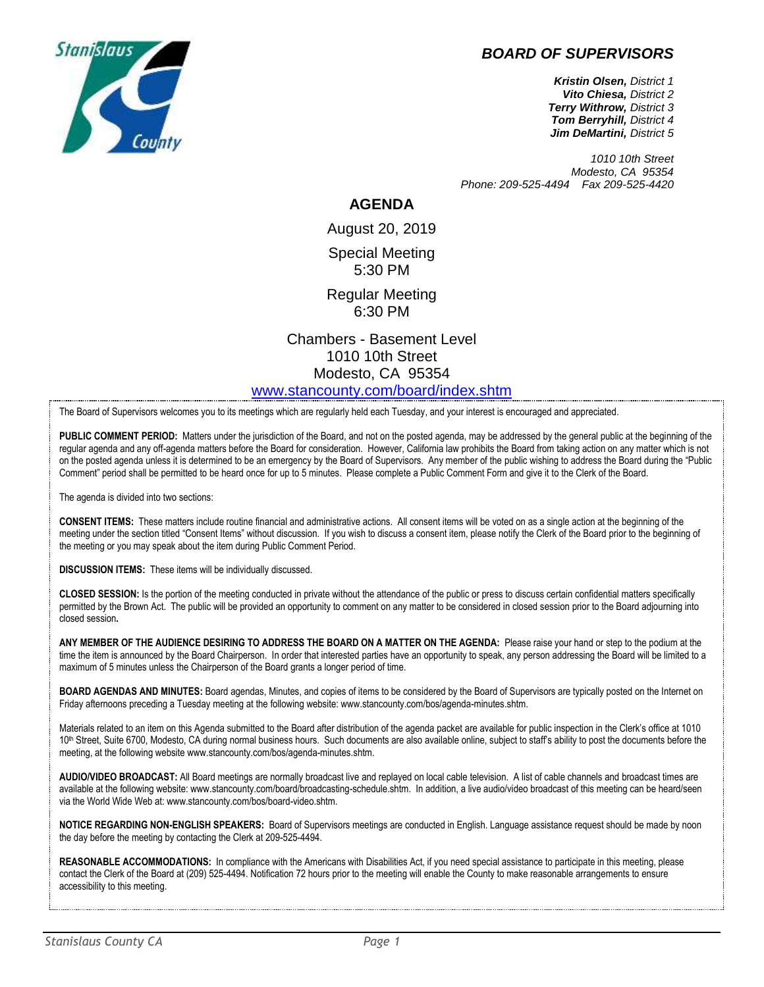



*Kristin Olsen, District 1 Vito Chiesa, District 2 Terry Withrow, District 3 Tom Berryhill, District 4 Jim DeMartini, District 5*

*1010 10th Street Modesto, CA 95354 Phone: 209-525-4494 Fax 209-525-4420*

## **AGENDA**

August 20, 2019 Special Meeting 5:30 PM

Regular Meeting 6:30 PM

Chambers - Basement Level 1010 10th Street Modesto, CA 95354 [www.stancounty.com/board/index.shtm](http://www.stancounty.com/board/index.shtm)

The Board of Supervisors welcomes you to its meetings which are regularly held each Tuesday, and your interest is encouraged and appreciated.

**PUBLIC COMMENT PERIOD:** Matters under the jurisdiction of the Board, and not on the posted agenda, may be addressed by the general public at the beginning of the regular agenda and any off-agenda matters before the Board for consideration. However, California law prohibits the Board from taking action on any matter which is not on the posted agenda unless it is determined to be an emergency by the Board of Supervisors. Any member of the public wishing to address the Board during the "Public Comment" period shall be permitted to be heard once for up to 5 minutes. Please complete a Public Comment Form and give it to the Clerk of the Board.

The agenda is divided into two sections:

**CONSENT ITEMS:** These matters include routine financial and administrative actions. All consent items will be voted on as a single action at the beginning of the meeting under the section titled "Consent Items" without discussion. If you wish to discuss a consent item, please notify the Clerk of the Board prior to the beginning of the meeting or you may speak about the item during Public Comment Period.

**DISCUSSION ITEMS:** These items will be individually discussed.

**CLOSED SESSION:** Is the portion of the meeting conducted in private without the attendance of the public or press to discuss certain confidential matters specifically permitted by the Brown Act. The public will be provided an opportunity to comment on any matter to be considered in closed session prior to the Board adjourning into closed session**.**

**ANY MEMBER OF THE AUDIENCE DESIRING TO ADDRESS THE BOARD ON A MATTER ON THE AGENDA:** Please raise your hand or step to the podium at the time the item is announced by the Board Chairperson. In order that interested parties have an opportunity to speak, any person addressing the Board will be limited to a maximum of 5 minutes unless the Chairperson of the Board grants a longer period of time.

**BOARD AGENDAS AND MINUTES:** Board agendas, Minutes, and copies of items to be considered by the Board of Supervisors are typically posted on the Internet on Friday afternoons preceding a Tuesday meeting at the following website: www.stancounty.com/bos/agenda-minutes.shtm.

Materials related to an item on this Agenda submitted to the Board after distribution of the agenda packet are available for public inspection in the Clerk's office at 1010 10<sup>th</sup> Street, Suite 6700, Modesto, CA during normal business hours. Such documents are also available online, subject to staff's ability to post the documents before the meeting, at the following website www.stancounty.com/bos/agenda-minutes.shtm.

**AUDIO/VIDEO BROADCAST:** All Board meetings are normally broadcast live and replayed on local cable television. A list of cable channels and broadcast times are available at the following website: www.stancounty.com/board/broadcasting-schedule.shtm. In addition, a live audio/video broadcast of this meeting can be heard/seen via the World Wide Web at: www.stancounty.com/bos/board-video.shtm.

**NOTICE REGARDING NON-ENGLISH SPEAKERS:** Board of Supervisors meetings are conducted in English. Language assistance request should be made by noon the day before the meeting by contacting the Clerk at 209-525-4494.

**REASONABLE ACCOMMODATIONS:** In compliance with the Americans with Disabilities Act, if you need special assistance to participate in this meeting, please contact the Clerk of the Board at (209) 525-4494. Notification 72 hours prior to the meeting will enable the County to make reasonable arrangements to ensure accessibility to this meeting.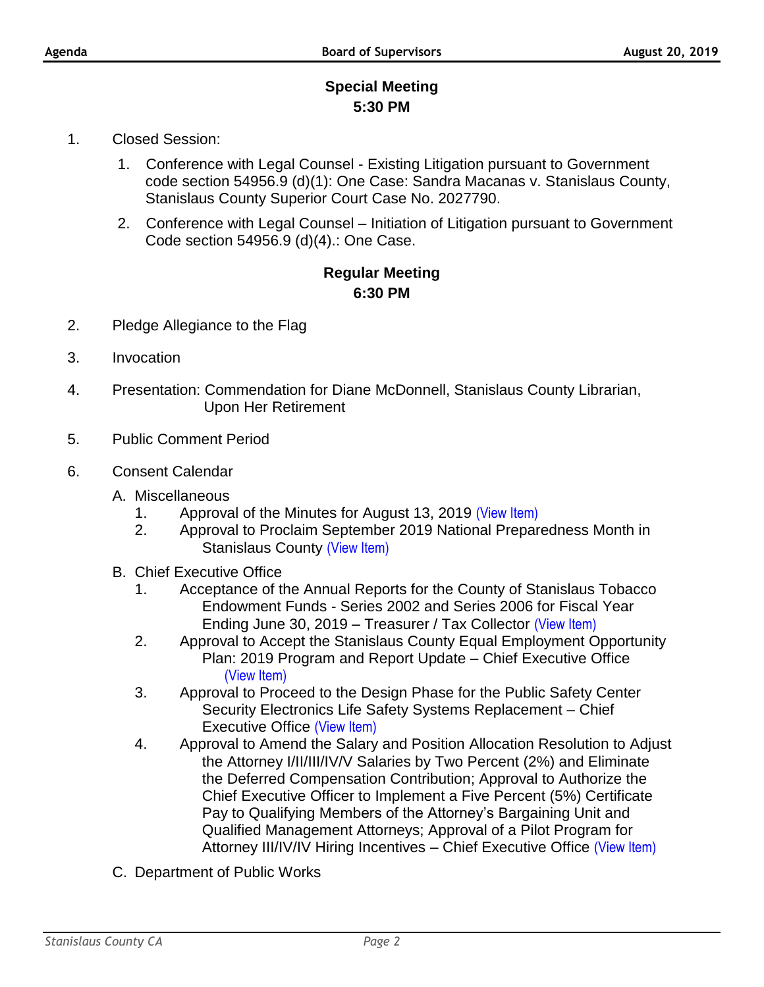## **Special Meeting 5:30 PM**

- 1. Closed Session:
	- 1. Conference with Legal Counsel Existing Litigation pursuant to Government code section 54956.9 (d)(1): One Case: Sandra Macanas v. Stanislaus County, Stanislaus County Superior Court Case No. 2027790.
	- 2. Conference with Legal Counsel Initiation of Litigation pursuant to Government Code section 54956.9 (d)(4).: One Case.

## **Regular Meeting 6:30 PM**

- 2. Pledge Allegiance to the Flag
- 3. Invocation
- 4. Presentation: Commendation for Diane McDonnell, Stanislaus County Librarian, Upon Her Retirement
- 5. Public Comment Period
- 6. Consent Calendar
	- A. Miscellaneous
		- 1. Approval of the Minutes for August 13, 2019 [\(View Item\)](http://stancounty.com/bos/minutes/2019/min08-13-19.pdf)
		- 2. Approval to Proclaim September 2019 National Preparedness Month in Stanislaus County [\(View Item\)](http://stancounty.com/bos/agenda/2019/20190820/A02.pdf)
	- B. Chief Executive Office
		- 1. Acceptance of the Annual Reports for the County of Stanislaus Tobacco Endowment Funds - Series 2002 and Series 2006 for Fiscal Year Ending June 30, 2019 – Treasurer / Tax Collector [\(View Item\)](http://stancounty.com/bos/agenda/2019/20190820/B01.pdf)
		- 2. Approval to Accept the Stanislaus County Equal Employment Opportunity Plan: 2019 Program and Report Update – Chief Executive Office [\(View Item\)](http://stancounty.com/bos/agenda/2019/20190820/B02.pdf)
		- 3. Approval to Proceed to the Design Phase for the Public Safety Center Security Electronics Life Safety Systems Replacement – Chief Executive Office [\(View Item\)](http://stancounty.com/bos/agenda/2019/20190820/B03.pdf)
		- 4. Approval to Amend the Salary and Position Allocation Resolution to Adjust the Attorney I/II/III/IV/V Salaries by Two Percent (2%) and Eliminate the Deferred Compensation Contribution; Approval to Authorize the Chief Executive Officer to Implement a Five Percent (5%) Certificate Pay to Qualifying Members of the Attorney's Bargaining Unit and Qualified Management Attorneys; Approval of a Pilot Program for Attorney III/IV/IV Hiring Incentives – Chief Executive Office [\(View Item\)](http://stancounty.com/bos/agenda/2019/20190820/B04.pdf)
	- C. Department of Public Works